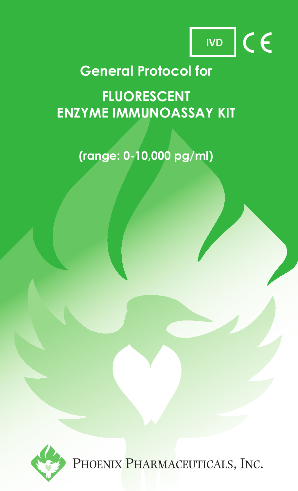

# **General Protocol for**

**FLUORESCENT ENZYME IMMUNOASSAY KIT**

# **(range: 0-10,000 pg/ml)**



PHOENIX PHARMACEUTICALS, INC.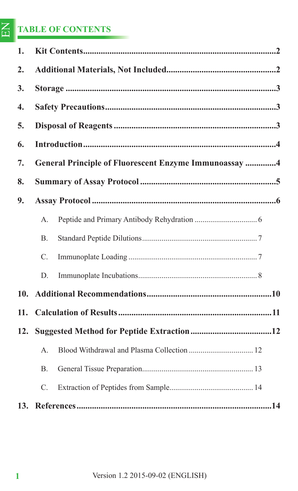#### EN **TABLE OF CONTENTS**

| 1.               |                                                       |  |  |  |  |
|------------------|-------------------------------------------------------|--|--|--|--|
| 2.               |                                                       |  |  |  |  |
| 3.               |                                                       |  |  |  |  |
| $\overline{4}$ . |                                                       |  |  |  |  |
| 5.               |                                                       |  |  |  |  |
| 6.               |                                                       |  |  |  |  |
| 7.               | General Principle of Fluorescent Enzyme Immunoassay 4 |  |  |  |  |
| 8.               |                                                       |  |  |  |  |
| 9.               |                                                       |  |  |  |  |
|                  | A.                                                    |  |  |  |  |
|                  | $\mathbf{B}$ .                                        |  |  |  |  |
|                  | C.                                                    |  |  |  |  |
|                  | D.                                                    |  |  |  |  |
| 10.              |                                                       |  |  |  |  |
| 11.              |                                                       |  |  |  |  |
| 12.              |                                                       |  |  |  |  |
|                  | A.                                                    |  |  |  |  |
|                  | <b>B.</b>                                             |  |  |  |  |
|                  | C.                                                    |  |  |  |  |
|                  |                                                       |  |  |  |  |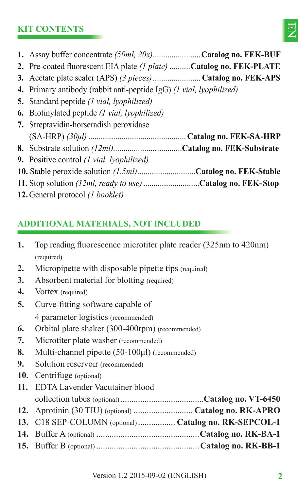# **KIT CONTENTS**



- **1.** Assay buffer concentrate *(50ml, 20x)* .......................**Catalog no. FEK-BUF**
- 2. Pre-coated fluorescent EIA plate *(1 plate)* ..........Catalog no. FEK-PLATE
- **3.** Acetate plate sealer (APS) *(3 pieces)* ....................... **Catalog no. FEK-APS**
- **4.** Primary antibody (rabbit anti-peptide IgG) *(1 vial, lyophilized)*
- **5.** Standard peptide *(1 vial, lyophilized)*
- **6.** Biotinylated peptide *(1 vial, lyophilized)*
- **7.** Streptavidin-horseradish peroxidase (SA-HRP) *(30μl)* ...............................................**Catalog no. FEK-SA-HRP 8.** Substrate solution *(12ml).....................*............**Catalog no. FEK-Substrate 9.** Positive control *(1 vial, lyophilized)* **10.** Stable peroxide solution *(1.5ml)*............................**Catalog no. FEK-Stable**
- **11.** Stop solution *(12ml, ready to use)* ...........................**Catalog no. FEK- Stop**
- **12.** General protocol *(1 booklet)*

# **ADDITIONAL MATERIALS, NOT INCLUDED**

- **1.** Top reading fluorescence microtiter plate reader (325nm to 420nm) (required)
- **2.** Micropipette with disposable pipette tips (required)
- **3.** Absorbent material for blotting (required)
- 4. Vortex (required)
- **5.** Curve-fitting software capable of
	- 4 parameter logistics (recommended)
- **6.** Orbital plate shaker (300-400rpm) (recommended)
- **7.** Microtiter plate washer (recommended)
- **8.** Multi-channel pipette (50-100μl) (recommended)
- **9.** Solution reservoir (recommended)
- **10.** Centrifuge (optional)
- **11.** EDTA Lavender Vacutainer blood

| 13. C18 SEP-COLUMN (optional)  Catalog no. RK-SEPCOL-1 |  |
|--------------------------------------------------------|--|
|                                                        |  |
|                                                        |  |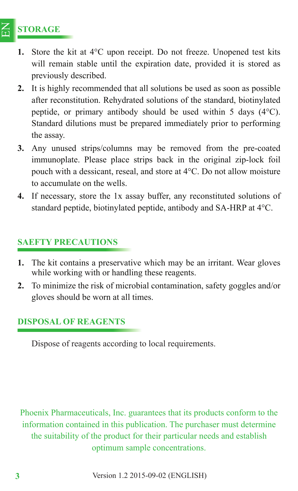#### $\Xi$ **STORAGE**

- **1.** Store the kit at 4°C upon receipt. Do not freeze. Unopened test kits will remain stable until the expiration date, provided it is stored as previously described.
- **2.** It is highly recommended that all solutions be used as soon as possible after reconstitution. Rehydrated solutions of the standard, biotinylated peptide, or primary antibody should be used within 5 days (4°C). Standard dilutions must be prepared immediately prior to performing the assay.
- **3.** Any unused strips/columns may be removed from the pre-coated immunoplate. Please place strips back in the original zip-lock foil pouch with a dessicant, reseal, and store at 4°C. Do not allow moisture to accumulate on the wells.
- **4.** If necessary, store the 1x assay buffer, any reconstituted solutions of standard peptide, biotinylated peptide, antibody and SA-HRP at 4°C.

# **SAEFTY PRECAUTIONS**

- **1.** The kit contains a preservative which may be an irritant. Wear gloves while working with or handling these reagents.
- **2.** To minimize the risk of microbial contamination, safety goggles and/or gloves should be worn at all times.

# **DISPOSAL OF REAGENTS**

Dispose of reagents according to local requirements.

Phoenix Pharmaceuticals, Inc. guarantees that its products conform to the information contained in this publication. The purchaser must determine the suitability of the product for their particular needs and establish optimum sample concentrations.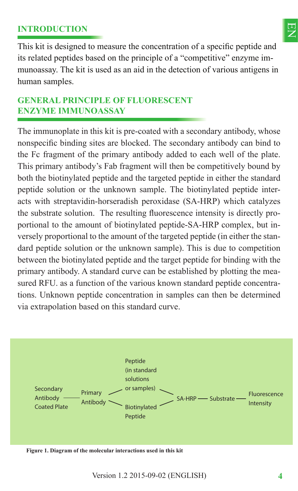## **INTRODUCTION**



This kit is designed to measure the concentration of a specific peptide and its related peptides based on the principle of a "competitive" enzyme immunoassay. The kit is used as an aid in the detection of various antigens in human samples.

# **GENERAL PRINCIPLE OF FLUORESCENT ENZYME IMMUNOASSAY**

The immunoplate in this kit is pre-coated with a secondary antibody, whose nonspecific binding sites are blocked. The secondary antibody can bind to the Fc fragment of the primary antibody added to each well of the plate. This primary antibody's Fab fragment will then be competitively bound by both the biotinylated peptide and the targeted peptide in either the standard peptide solution or the unknown sample. The biotinylated peptide interacts with streptavidin-horseradish peroxidase (SA-HRP) which catalyzes the substrate solution. The resulting fluorescence intensity is directly proportional to the amount of biotinylated peptide-SA-HRP complex, but inversely proportional to the amount of the targeted peptide (in either the standard peptide solution or the unknown sample). This is due to competition between the biotinylated peptide and the target peptide for binding with the primary antibody. A standard curve can be established by plotting the measured RFU. as a function of the various known standard peptide concentrations. Unknown peptide concentration in samples can then be determined via extrapolation based on this standard curve.



**Figure 1. Diagram of the molecular interactions used in this kit**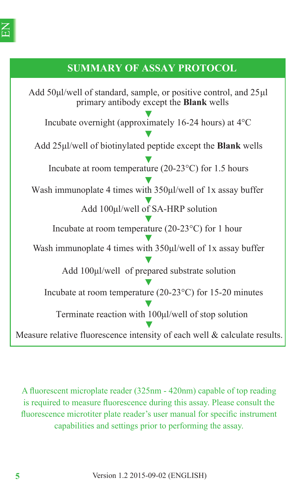# **SUMMARY OF ASSAY PROTOCOL**

Add 50 $\mu$ I/well of standard, sample, or positive control, and 25 $\mu$ I primary antibody except the **Blank** wells Incubate overnight (approximately 16-24 hours) at 4°C Add 25ȝl/well of biotinylated peptide except the **Blank** wells Add 100µl/well of SA-HRP solution Incubate at room temperature (20-23°C) for 1 hour Wash immunoplate 4 times with  $350 \mu$ l/well of 1x assay buffer Add 100µl/well of prepared substrate solution Incubate at room temperature (20-23°C) for 15-20 minutes Terminate reaction with 100µl/well of stop solution Measure relative fluorescence intensity of each well & calculate results. Incubate at room temperature (20-23°C) for 1.5 hours Wash immunoplate 4 times with  $350 \mu$ l/well of 1x assay buffer

A fluorescent microplate reader (325nm - 420nm) capable of top reading is required to measure fluorescence during this assay. Please consult the fluorescence microtiter plate reader's user manual for specific instrument capabilities and settings prior to performing the assay.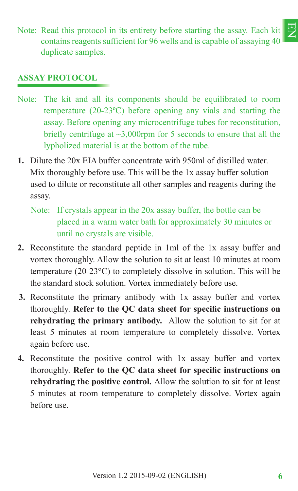巴<br>又 Note: Read this protocol in its entirety before starting the assay. Each kit contains reagents sufficient for 96 wells and is capable of assaying 40 duplicate samples.

### **ASSAY PROTOCOL**

- Note: The kit and all its components should be equilibrated to room temperature (20-23ºC) before opening any vials and starting the assay. Before opening any microcentrifuge tubes for reconstitution, briefly centrifuge at  $\sim$ 3,000rpm for 5 seconds to ensure that all the lypholized material is at the bottom of the tube.
- **1.** Dilute the 20x EIA buffer concentrate with 950ml of distilled water. Mix thoroughly before use. This will be the 1x assay buffer solution used to dilute or reconstitute all other samples and reagents during the assay.
	- Note: If crystals appear in the 20x assay buffer, the bottle can be placed in a warm water bath for approximately 30 minutes or until no crystals are visible.
- **2.** Reconstitute the standard peptide in 1ml of the 1x assay buffer and vortex thoroughly. Allow the solution to sit at least 10 minutes at room temperature (20-23°C) to completely dissolve in solution. This will be the standard stock solution. Vortex immediately before use.
- **3.** Reconstitute the primary antibody with 1x assay buffer and vortex thoroughly. Refer to the QC data sheet for specific instructions on **rehydrating the primary antibody.** Allow the solution to sit for at least 5 minutes at room temperature to completely dissolve. Vortex again before use.
- **4.** Reconstitute the positive control with 1x assay buffer and vortex thoroughly. **Refer to the OC data sheet for specific instructions on rehydrating the positive control.** Allow the solution to sit for at least 5 minutes at room temperature to completely dissolve. Vortex again before use.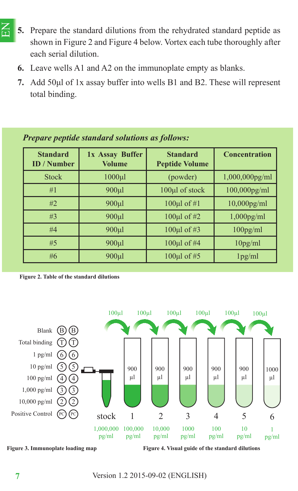- $\Xi$ **5.** Prepare the standard dilutions from the rehydrated standard peptide as shown in Figure 2 and Figure 4 below. Vortex each tube thoroughly after each serial dilution.
	- **6.** Leave wells A1 and A2 on the immunoplate empty as blanks.
	- **7.** Add 50μl of 1x assay buffer into wells B1 and B2. These will represent total binding.

| <b>Standard</b><br><b>ID</b> / Number | 1x Assay Buffer<br><b>Volume</b> | <b>Standard</b><br><b>Peptide Volume</b> | <b>Concentration</b> |  |  |  |
|---------------------------------------|----------------------------------|------------------------------------------|----------------------|--|--|--|
| <b>Stock</b>                          | $1000$ ul                        | (powder)                                 | $1,000,000$ pg/ml    |  |  |  |
| #1                                    | $900 \mu l$                      | 100µl of stock                           | $100,000$ pg/ml      |  |  |  |
| #2                                    | $900 \mu l$                      | 100 $\mu$ l of #1                        | $10,000$ pg/ml       |  |  |  |
| #3                                    | 900 <sub>µ</sub>                 | 100 $\mu$ l of #2                        | $1,000$ pg/ml        |  |  |  |
| #4                                    | $900 \mu l$                      | 100µl of #3                              | $100$ pg/ml          |  |  |  |
| #5                                    | $900 \mu l$                      | 100µl of #4                              | 10 <sub>pg</sub> /ml |  |  |  |
| #6                                    | 900 <sub>µ</sub>                 | 100µl of #5                              | 1 <sub>pg</sub> /ml  |  |  |  |

#### *Prepare peptide standard solutions as follows:*





**Figure 3. Immunoplate loading map** Figure 4. Visual guide of the standard dilutions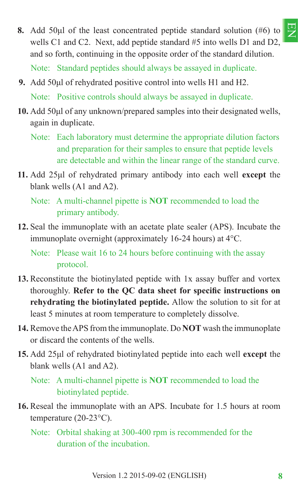

**8.** Add 50μl of the least concentrated peptide standard solution (#6) to wells C1 and C2. Next, add peptide standard #5 into wells D1 and D2, and so forth, continuing in the opposite order of the standard dilution.

Note: Standard peptides should always be assayed in duplicate.

- **9.** Add 50μl of rehydrated positive control into wells H1 and H2. Note: Positive controls should always be assayed in duplicate.
- **10.** Add 50μl of any unknown/prepared samples into their designated wells, again in duplicate.
	- Note: Each laboratory must determine the appropriate dilution factors and preparation for their samples to ensure that peptide levels are detectable and within the linear range of the standard curve.
- **11.** Add 25μl of rehydrated primary antibody into each well **except** the blank wells (A1 and A2).

Note: A multi-channel pipette is **NOT** recommended to load the primary antibody.

**12.** Seal the immunoplate with an acetate plate sealer (APS). Incubate the immunoplate overnight (approximately 16-24 hours) at 4°C.

Note: Please wait 16 to 24 hours before continuing with the assay protocol.

- **13.** Reconstitute the biotinylated peptide with 1x assay buffer and vortex thoroughly. Refer to the QC data sheet for specific instructions on **rehydrating the biotinylated peptide.** Allow the solution to sit for at least 5 minutes at room temperature to completely dissolve.
- **14.** Remove the APS from the immunoplate. Do **NOT** wash the immunoplate or discard the contents of the wells.
- **15.** Add 25μl of rehydrated biotinylated peptide into each well **except** the blank wells (A1 and A2).

Note: A multi-channel pipette is **NOT** recommended to load the biotinylated peptide.

- **16.** Reseal the immunoplate with an APS. Incubate for 1.5 hours at room temperature (20-23°C).
	- Note: Orbital shaking at 300-400 rpm is recommended for the duration of the incubation.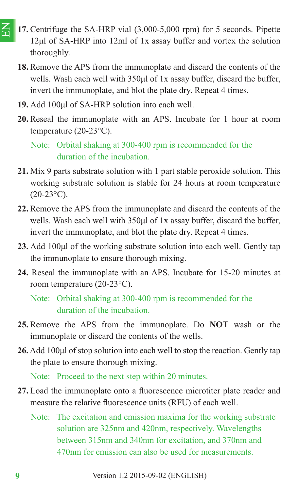- $\Xi$ **17.** Centrifuge the SA-HRP vial (3,000-5,000 rpm) for 5 seconds. Pipette 12μl of SA-HRP into 12ml of 1x assay buffer and vortex the solution thoroughly.
	- **18.** Remove the APS from the immunoplate and discard the contents of the wells. Wash each well with 350μl of 1x assay buffer, discard the buffer, invert the immunoplate, and blot the plate dry. Repeat 4 times.
	- **19.** Add 100μl of SA-HRP solution into each well.
	- **20.** Reseal the immunoplate with an APS. Incubate for 1 hour at room temperature (20-23°C).

Note: Orbital shaking at 300-400 rpm is recommended for the duration of the incubation.

- **21.** Mix 9 parts substrate solution with 1 part stable peroxide solution. This working substrate solution is stable for 24 hours at room temperature  $(20-23\text{°C})$ .
- **22.** Remove the APS from the immunoplate and discard the contents of the wells. Wash each well with 350μl of 1x assay buffer, discard the buffer, invert the immunoplate, and blot the plate dry. Repeat 4 times.
- **23.** Add 100μl of the working substrate solution into each well. Gently tap the immunoplate to ensure thorough mixing.
- **24.** Reseal the immunoplate with an APS. Incubate for 15-20 minutes at room temperature (20-23°C).

Note: Orbital shaking at 300-400 rpm is recommended for the duration of the incubation.

- **25.** Remove the APS from the immunoplate. Do **NOT** wash or the immunoplate or discard the contents of the wells.
- **26.** Add 100μl of stop solution into each well to stop the reaction. Gently tap the plate to ensure thorough mixing.

Note: Proceed to the next step within 20 minutes.

- 27. Load the immunoplate onto a fluorescence microtiter plate reader and measure the relative fluorescence units (RFU) of each well.
	- Note: The excitation and emission maxima for the working substrate solution are 325nm and 420nm, respectively. Wavelengths between 315nm and 340nm for excitation, and 370nm and 470nm for emission can also be used for measurements.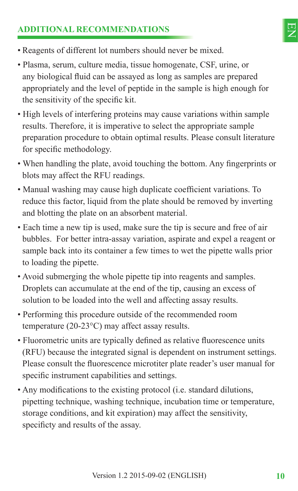# **ADDITIONAL RECOMMENDATIONS**



- Reagents of different lot numbers should never be mixed.
- Plasma, serum, culture media, tissue homogenate, CSF, urine, or any biological fluid can be assayed as long as samples are prepared appropriately and the level of peptide in the sample is high enough for the sensitivity of the specific kit.
- High levels of interfering proteins may cause variations within sample results. Therefore, it is imperative to select the appropriate sample preparation procedure to obtain optimal results. Please consult literature for specific methodology.
- When handling the plate, avoid touching the bottom. Any fingerprints or blots may affect the RFU readings.
- Manual washing may cause high duplicate coefficient variations. To reduce this factor, liquid from the plate should be removed by inverting and blotting the plate on an absorbent material.
- Each time a new tip is used, make sure the tip is secure and free of air bubbles. For better intra-assay variation, aspirate and expel a reagent or sample back into its container a few times to wet the pipette walls prior to loading the pipette.
- Avoid submerging the whole pipette tip into reagents and samples. Droplets can accumulate at the end of the tip, causing an excess of solution to be loaded into the well and affecting assay results.
- Performing this procedure outside of the recommended room temperature (20-23°C) may affect assay results.
- Fluorometric units are typically defined as relative fluorescence units (RFU) because the integrated signal is dependent on instrument settings. Please consult the fluorescence microtiter plate reader's user manual for specific instrument capabilities and settings.
- Any modifications to the existing protocol (i.e. standard dilutions, pipetting technique, washing technique, incubation time or temperature, storage conditions, and kit expiration) may affect the sensitivity, specificty and results of the assay.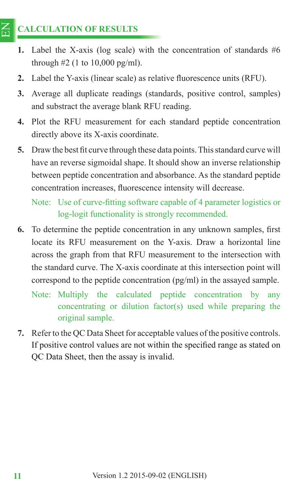#### $\Xi$ **CALCULATION OF RESULTS**

- **1.** Label the X-axis (log scale) with the concentration of standards #6 through  $#2$  (1 to 10,000 pg/ml).
- **2.** Label the Y-axis (linear scale) as relative fluorescence units (RFU).
- **3.** Average all duplicate readings (standards, positive control, samples) and substract the average blank RFU reading.
- **4.** Plot the RFU measurement for each standard peptide concentration directly above its X-axis coordinate.
- **5.** Draw the best fit curve through these data points. This standard curve will have an reverse sigmoidal shape. It should show an inverse relationship between peptide concentration and absorbance. As the standard peptide concentration increases, fluorescence intensity will decrease.

Note: Use of curve-fitting software capable of 4 parameter logistics or log-logit functionality is strongly recommended.

- **6.** To determine the peptide concentration in any unknown samples, first locate its RFU measurement on the Y-axis. Draw a horizontal line across the graph from that RFU measurement to the intersection with the standard curve. The X-axis coordinate at this intersection point will correspond to the peptide concentration (pg/ml) in the assayed sample.
	- Note: Multiply the calculated peptide concentration by any concentrating or dilution factor(s) used while preparing the original sample.
- **7.** Refer to the QC Data Sheet for acceptable values of the positive controls. If positive control values are not within the specified range as stated on QC Data Sheet, then the assay is invalid.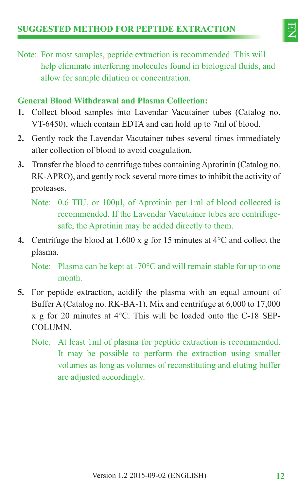

Note: For most samples, peptide extraction is recommended. This will help eliminate interfering molecules found in biological fluids, and allow for sample dilution or concentration.

### **General Blood Withdrawal and Plasma Collection:**

- **1.** Collect blood samples into Lavendar Vacutainer tubes (Catalog no. VT-6450), which contain EDTA and can hold up to 7ml of blood.
- **2.** Gently rock the Lavendar Vacutainer tubes several times immediately after collection of blood to avoid coagulation.
- **3.** Transfer the blood to centrifuge tubes containing Aprotinin (Catalog no. RK-APRO), and gently rock several more times to inhibit the activity of proteases.
	- Note: 0.6 TIU, or 100μl, of Aprotinin per 1ml of blood collected is recommended. If the Lavendar Vacutainer tubes are centrifugesafe, the Aprotinin may be added directly to them.
- **4.** Centrifuge the blood at 1,600 x g for 15 minutes at 4°C and collect the plasma.

Note: Plasma can be kept at -70°C and will remain stable for up to one month.

- **5.** For peptide extraction, acidify the plasma with an equal amount of Buffer A (Catalog no. RK-BA-1). Mix and centrifuge at 6,000 to 17,000 x g for 20 minutes at 4°C. This will be loaded onto the C-18 SEP-**COLUMN** 
	- Note: At least 1ml of plasma for peptide extraction is recommended. It may be possible to perform the extraction using smaller volumes as long as volumes of reconstituting and eluting buffer are adjusted accordingly.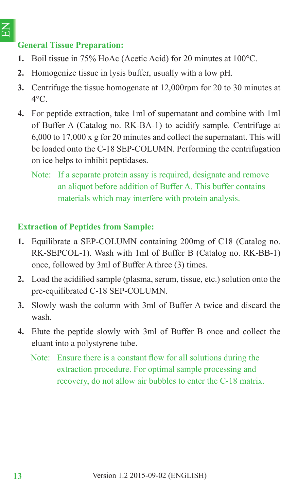### **General Tissue Preparation:**

- **1.** Boil tissue in 75% HoAc (Acetic Acid) for 20 minutes at 100°C.
- **2.** Homogenize tissue in lysis buffer, usually with a low pH.
- **3.** Centrifuge the tissue homogenate at 12,000rpm for 20 to 30 minutes at  $4^{\circ}$ C.
- **4.** For peptide extraction, take 1ml of supernatant and combine with 1ml of Buffer A (Catalog no. RK-BA-1) to acidify sample. Centrifuge at 6,000 to 17,000 x g for 20 minutes and collect the supernatant. This will be loaded onto the C-18 SEP-COLUMN. Performing the centrifugation on ice helps to inhibit peptidases.
	- Note: If a separate protein assay is required, designate and remove an aliquot before addition of Buffer A. This buffer contains materials which may interfere with protein analysis.

### **Extraction of Peptides from Sample:**

- **1.** Equilibrate a SEP-COLUMN containing 200mg of C18 (Catalog no. RK-SEPCOL-1). Wash with 1ml of Buffer B (Catalog no. RK-BB-1) once, followed by 3ml of Buffer A three (3) times.
- **2.** Load the acidified sample (plasma, serum, tissue, etc.) solution onto the pre-equilibrated C-18 SEP-COLUMN.
- **3.** Slowly wash the column with 3ml of Buffer A twice and discard the wash.
- **4.** Elute the peptide slowly with 3ml of Buffer B once and collect the eluant into a polystyrene tube.
	- Note: Ensure there is a constant flow for all solutions during the extraction procedure. For optimal sample processing and recovery, do not allow air bubbles to enter the C-18 matrix.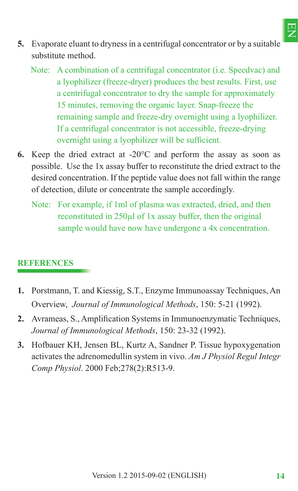- **5.** Evaporate eluant to dryness in a centrifugal concentrator or by a suitable substitute method.
	- Note: A combination of a centrifugal concentrator (i.e. Speedvac) and a lyophilizer (freeze-dryer) produces the best results. First, use a centrifugal concentrator to dry the sample for approximately 15 minutes, removing the organic layer. Snap-freeze the remaining sample and freeze-dry overnight using a lyophilizer. If a centrifugal concentrator is not accessible, freeze-drying overnight using a lyophilizer will be sufficient.
- **6.** Keep the dried extract at -20°C and perform the assay as soon as possible. Use the 1x assay buffer to reconstitute the dried extract to the desired concentration. If the peptide value does not fall within the range of detection, dilute or concentrate the sample accordingly.
	- Note: For example, if 1ml of plasma was extracted, dried, and then reconstituted in 250μl of 1x assay buffer, then the original sample would have now have undergone a 4x concentration.

### **REFERENCES**

- **1.** Porstmann, T. and Kiessig, S.T., Enzyme Immunoassay Techniques, An Overview, *Journal of Immunological Methods*, 150: 5-21 (1992).
- 2. Avrameas, S., Amplification Systems in Immunoenzymatic Techniques, *Journal of Immunological Methods*, 150: 23-32 (1992).
- **3.** Hofbauer KH, Jensen BL, Kurtz A, Sandner P. Tissue hypoxygenation activates the adrenomedullin system in vivo. *Am J Physiol Regul Integr Comp Physiol*. 2000 Feb;278(2):R513-9.